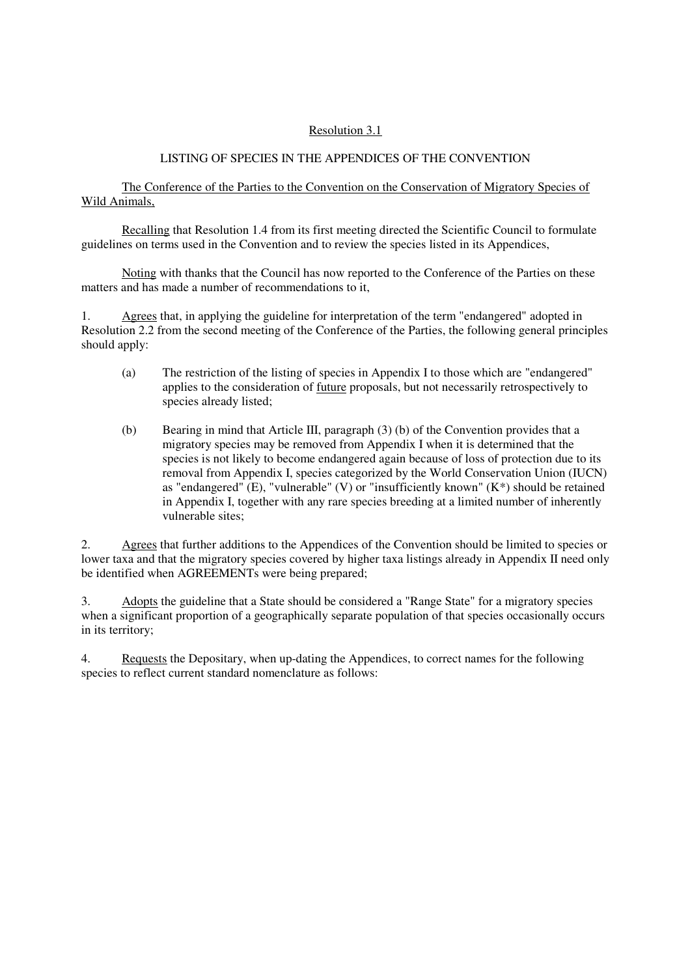# Resolution 3.1

# LISTING OF SPECIES IN THE APPENDICES OF THE CONVENTION

 The Conference of the Parties to the Convention on the Conservation of Migratory Species of Wild Animals,

 Recalling that Resolution 1.4 from its first meeting directed the Scientific Council to formulate guidelines on terms used in the Convention and to review the species listed in its Appendices,

 Noting with thanks that the Council has now reported to the Conference of the Parties on these matters and has made a number of recommendations to it,

1. Agrees that, in applying the guideline for interpretation of the term "endangered" adopted in Resolution 2.2 from the second meeting of the Conference of the Parties, the following general principles should apply:

- (a) The restriction of the listing of species in Appendix I to those which are "endangered" applies to the consideration of future proposals, but not necessarily retrospectively to species already listed;
- (b) Bearing in mind that Article III, paragraph (3) (b) of the Convention provides that a migratory species may be removed from Appendix I when it is determined that the species is not likely to become endangered again because of loss of protection due to its removal from Appendix I, species categorized by the World Conservation Union (IUCN) as "endangered" (E), "vulnerable" (V) or "insufficiently known"  $(K^*)$  should be retained in Appendix I, together with any rare species breeding at a limited number of inherently vulnerable sites;

2. Agrees that further additions to the Appendices of the Convention should be limited to species or lower taxa and that the migratory species covered by higher taxa listings already in Appendix II need only be identified when AGREEMENTs were being prepared;

3. Adopts the guideline that a State should be considered a "Range State" for a migratory species when a significant proportion of a geographically separate population of that species occasionally occurs in its territory;

4. Requests the Depositary, when up-dating the Appendices, to correct names for the following species to reflect current standard nomenclature as follows: